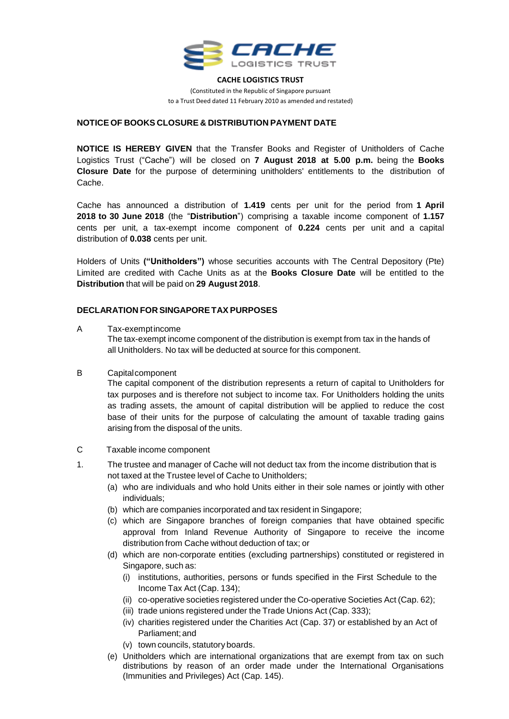

**CACHE LOGISTICS TRUST**

(Constituted in the Republic of Singapore pursuant to a Trust Deed dated 11 February 2010 as amended and restated)

## **NOTICE OF BOOKS CLOSURE & DISTRIBUTION PAYMENT DATE**

**NOTICE IS HEREBY GIVEN** that the Transfer Books and Register of Unitholders of Cache Logistics Trust ("Cache") will be closed on **7 August 2018 at 5.00 p.m.** being the **Books Closure Date** for the purpose of determining unitholders' entitlements to the distribution of Cache.

Cache has announced a distribution of **1.419** cents per unit for the period from **1 April 2018 to 30 June 2018** (the "**Distribution**") comprising a taxable income component of **1.157** cents per unit, a tax-exempt income component of **0.224** cents per unit and a capital distribution of **0.038** cents per unit.

Holders of Units **("Unitholders")** whose securities accounts with The Central Depository (Pte) Limited are credited with Cache Units as at the **Books Closure Date** will be entitled to the **Distribution** that will be paid on **29 August 2018**.

## **DECLARATION FOR SINGAPORETAX PURPOSES**

#### A Tax-exemptincome

The tax-exempt income component of the distribution is exempt from tax in the hands of all Unitholders. No tax will be deducted at source for this component.

B Capitalcomponent

The capital component of the distribution represents a return of capital to Unitholders for tax purposes and is therefore not subject to income tax. For Unitholders holding the units as trading assets, the amount of capital distribution will be applied to reduce the cost base of their units for the purpose of calculating the amount of taxable trading gains arising from the disposal of the units.

- C Taxable income component
- 1. The trustee and manager of Cache will not deduct tax from the income distribution that is not taxed at the Trustee level of Cache to Unitholders;
	- (a) who are individuals and who hold Units either in their sole names or jointly with other individuals;
	- (b) which are companies incorporated and tax resident in Singapore;
	- (c) which are Singapore branches of foreign companies that have obtained specific approval from Inland Revenue Authority of Singapore to receive the income distribution from Cache without deduction of tax; or
	- (d) which are non-corporate entities (excluding partnerships) constituted or registered in Singapore, such as:
		- (i) institutions, authorities, persons or funds specified in the First Schedule to the Income Tax Act (Cap. 134);
		- (ii) co-operative societies registered under the Co-operative Societies Act (Cap. 62);
		- (iii) trade unions registered under the Trade Unions Act (Cap. 333);
		- (iv) charities registered under the Charities Act (Cap. 37) or established by an Act of Parliament;and
		- (v) town councils, statutory boards.
	- (e) Unitholders which are international organizations that are exempt from tax on such distributions by reason of an order made under the International Organisations (Immunities and Privileges) Act (Cap. 145).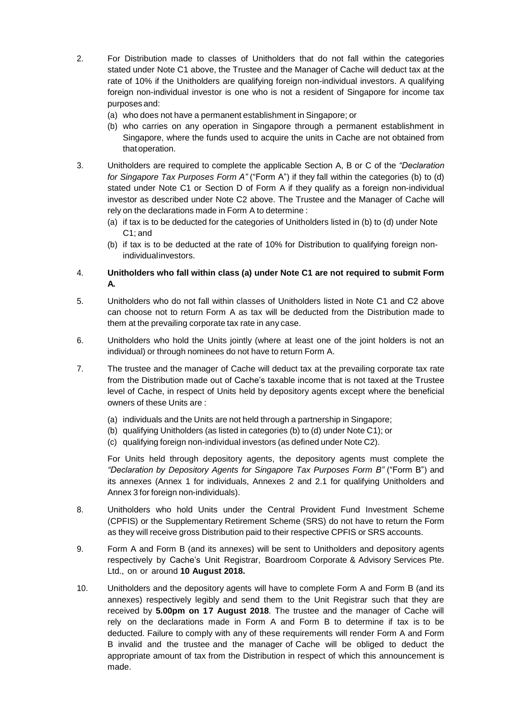- 2. For Distribution made to classes of Unitholders that do not fall within the categories stated under Note C1 above, the Trustee and the Manager of Cache will deduct tax at the rate of 10% if the Unitholders are qualifying foreign non-individual investors. A qualifying foreign non-individual investor is one who is not a resident of Singapore for income tax purposes and:
	- (a) who does not have a permanent establishment in Singapore; or
	- (b) who carries on any operation in Singapore through a permanent establishment in Singapore, where the funds used to acquire the units in Cache are not obtained from that operation.
- 3. Unitholders are required to complete the applicable Section A, B or C of the *"Declaration for Singapore Tax Purposes Form A"* ("Form A") if they fall within the categories (b) to (d) stated under Note C1 or Section D of Form A if they qualify as a foreign non-individual investor as described under Note C2 above. The Trustee and the Manager of Cache will rely on the declarations made in Form A to determine :
	- (a) if tax is to be deducted for the categories of Unitholders listed in (b) to (d) under Note C1; and
	- (b) if tax is to be deducted at the rate of 10% for Distribution to qualifying foreign nonindividualinvestors.

# 4. **Unitholders who fall within class (a) under Note C1 are not required to submit Form A.**

- 5. Unitholders who do not fall within classes of Unitholders listed in Note C1 and C2 above can choose not to return Form A as tax will be deducted from the Distribution made to them at the prevailing corporate tax rate in any case.
- 6. Unitholders who hold the Units jointly (where at least one of the joint holders is not an individual) or through nominees do not have to return Form A.
- 7. The trustee and the manager of Cache will deduct tax at the prevailing corporate tax rate from the Distribution made out of Cache's taxable income that is not taxed at the Trustee level of Cache, in respect of Units held by depository agents except where the beneficial owners of these Units are :
	- (a) individuals and the Units are not held through a partnership in Singapore;
	- (b) qualifying Unitholders (as listed in categories (b) to (d) under Note C1); or
	- (c) qualifying foreign non-individual investors (as defined under Note C2).

For Units held through depository agents, the depository agents must complete the *"Declaration by Depository Agents for Singapore Tax Purposes Form B"* ("Form B") and its annexes (Annex 1 for individuals, Annexes 2 and 2.1 for qualifying Unitholders and Annex 3 for foreign non-individuals).

- 8. Unitholders who hold Units under the Central Provident Fund Investment Scheme (CPFIS) or the Supplementary Retirement Scheme (SRS) do not have to return the Form as they will receive gross Distribution paid to their respective CPFIS or SRS accounts.
- 9. Form A and Form B (and its annexes) will be sent to Unitholders and depository agents respectively by Cache's Unit Registrar, Boardroom Corporate & Advisory Services Pte. Ltd., on or around **10 August 2018.**
- 10. Unitholders and the depository agents will have to complete Form A and Form B (and its annexes) respectively legibly and send them to the Unit Registrar such that they are received by **5.00pm on 17 August 2018**. The trustee and the manager of Cache will rely on the declarations made in Form A and Form B to determine if tax is to be deducted. Failure to comply with any of these requirements will render Form A and Form B invalid and the trustee and the manager of Cache will be obliged to deduct the appropriate amount of tax from the Distribution in respect of which this announcement is made.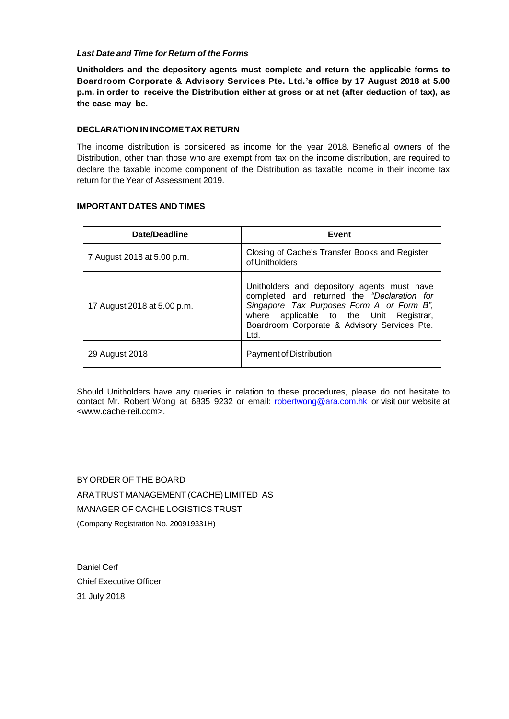## *Last Date and Time for Return of the Forms*

**Unitholders and the depository agents must complete and return the applicable forms to Boardroom Corporate & Advisory Services Pte. Ltd.'s office by 17 August 2018 at 5.00 p.m. in order to receive the Distribution either at gross or at net (after deduction of tax), as the case may be.**

## **DECLARATION IN INCOMETAX RETURN**

The income distribution is considered as income for the year 2018. Beneficial owners of the Distribution, other than those who are exempt from tax on the income distribution, are required to declare the taxable income component of the Distribution as taxable income in their income tax return for the Year of Assessment 2019.

# **IMPORTANT DATES AND TIMES**

| <b>Date/Deadline</b>        | Event                                                                                                                                                                                                                                      |
|-----------------------------|--------------------------------------------------------------------------------------------------------------------------------------------------------------------------------------------------------------------------------------------|
| 7 August 2018 at 5.00 p.m.  | Closing of Cache's Transfer Books and Register<br>of Unitholders                                                                                                                                                                           |
| 17 August 2018 at 5.00 p.m. | Unitholders and depository agents must have<br>completed and returned the "Declaration for<br>Singapore Tax Purposes Form A or Form B",<br>where applicable to the Unit Registrar,<br>Boardroom Corporate & Advisory Services Pte.<br>Ltd. |
| 29 August 2018              | Payment of Distribution                                                                                                                                                                                                                    |

Should Unitholders have any queries in relation to these procedures, please do not hesitate to contact Mr. Robert Wong at 6835 9232 or email: [robertwong@ara.com.hk](mailto:robertwong@ara.com.hk) or visit our website at [<www.cache-reit.com>](http://www.cache-reit.com/).

BY ORDER OF THE BOARD ARATRUST MANAGEMENT (CACHE) LIMITED AS MANAGER OF CACHE LOGISTICS TRUST (Company Registration No. 200919331H)

Daniel Cerf Chief Executive Officer 31 July 2018